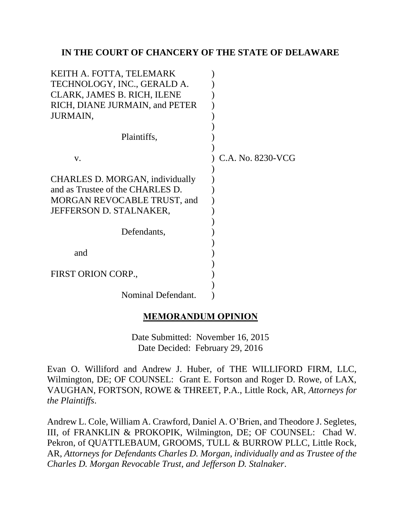## **IN THE COURT OF CHANCERY OF THE STATE OF DELAWARE**

| KEITH A. FOTTA, TELEMARK<br>TECHNOLOGY, INC., GERALD A. |                   |
|---------------------------------------------------------|-------------------|
| CLARK, JAMES B. RICH, ILENE                             |                   |
| RICH, DIANE JURMAIN, and PETER                          |                   |
| <b>JURMAIN,</b>                                         |                   |
| Plaintiffs,                                             |                   |
|                                                         |                   |
| V.                                                      | C.A. No. 8230-VCG |
| CHARLES D. MORGAN, individually                         |                   |
| and as Trustee of the CHARLES D.                        |                   |
| MORGAN REVOCABLE TRUST, and                             |                   |
| JEFFERSON D. STALNAKER,                                 |                   |
| Defendants,                                             |                   |
|                                                         |                   |
| and                                                     |                   |
|                                                         |                   |
| FIRST ORION CORP.,                                      |                   |
|                                                         |                   |
| Nominal Defendant.                                      |                   |

## **MEMORANDUM OPINION**

Date Submitted: November 16, 2015 Date Decided: February 29, 2016

Evan O. Williford and Andrew J. Huber, of THE WILLIFORD FIRM, LLC, Wilmington, DE; OF COUNSEL: Grant E. Fortson and Roger D. Rowe, of LAX, VAUGHAN, FORTSON, ROWE & THREET, P.A., Little Rock, AR, *Attorneys for the Plaintiffs*.

Andrew L. Cole, William A. Crawford, Daniel A. O'Brien, and Theodore J. Segletes, III, of FRANKLIN & PROKOPIK, Wilmington, DE; OF COUNSEL: Chad W. Pekron, of QUATTLEBAUM, GROOMS, TULL & BURROW PLLC, Little Rock, AR, *Attorneys for Defendants Charles D. Morgan, individually and as Trustee of the Charles D. Morgan Revocable Trust, and Jefferson D. Stalnaker*.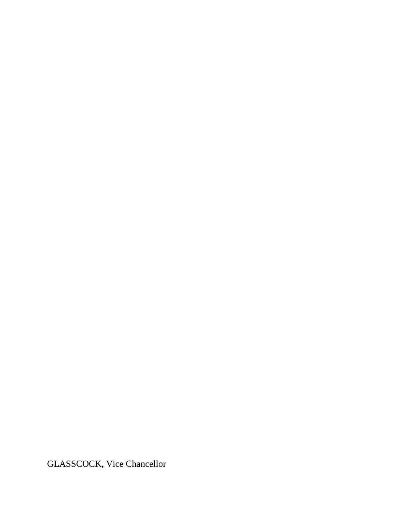GLASSCOCK, Vice Chancellor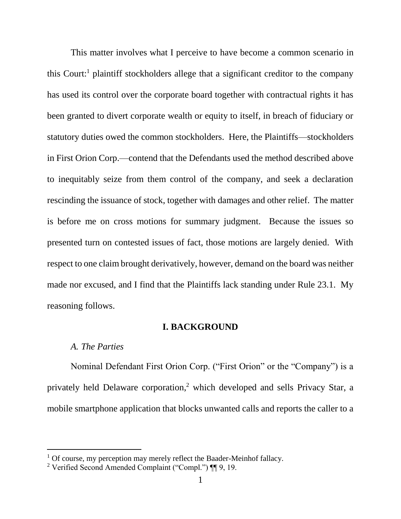This matter involves what I perceive to have become a common scenario in this Court:<sup>1</sup> plaintiff stockholders allege that a significant creditor to the company has used its control over the corporate board together with contractual rights it has been granted to divert corporate wealth or equity to itself, in breach of fiduciary or statutory duties owed the common stockholders. Here, the Plaintiffs—stockholders in First Orion Corp.—contend that the Defendants used the method described above to inequitably seize from them control of the company, and seek a declaration rescinding the issuance of stock, together with damages and other relief. The matter is before me on cross motions for summary judgment. Because the issues so presented turn on contested issues of fact, those motions are largely denied. With respect to one claim brought derivatively, however, demand on the board was neither made nor excused, and I find that the Plaintiffs lack standing under Rule 23.1. My reasoning follows.

#### **I. BACKGROUND**

#### *A. The Parties*

l

Nominal Defendant First Orion Corp. ("First Orion" or the "Company") is a privately held Delaware corporation, <sup>2</sup> which developed and sells Privacy Star, a mobile smartphone application that blocks unwanted calls and reports the caller to a

 $1$  Of course, my perception may merely reflect the Baader-Meinhof fallacy.

<sup>2</sup> Verified Second Amended Complaint ("Compl.") ¶¶ 9, 19.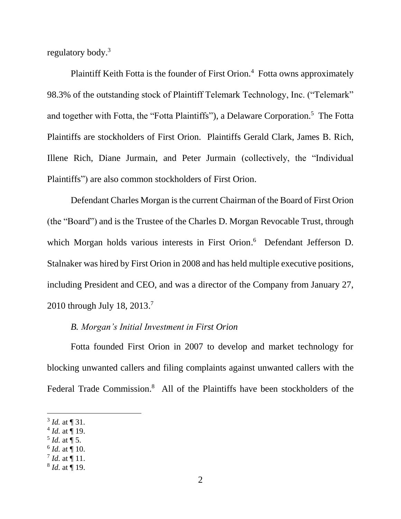regulatory body.<sup>3</sup>

Plaintiff Keith Fotta is the founder of First Orion.<sup>4</sup> Fotta owns approximately 98.3% of the outstanding stock of Plaintiff Telemark Technology, Inc. ("Telemark" and together with Fotta, the "Fotta Plaintiffs"), a Delaware Corporation.<sup>5</sup> The Fotta Plaintiffs are stockholders of First Orion. Plaintiffs Gerald Clark, James B. Rich, Illene Rich, Diane Jurmain, and Peter Jurmain (collectively, the "Individual Plaintiffs") are also common stockholders of First Orion.

Defendant Charles Morgan is the current Chairman of the Board of First Orion (the "Board") and is the Trustee of the Charles D. Morgan Revocable Trust, through which Morgan holds various interests in First Orion. 6 Defendant Jefferson D. Stalnaker was hired by First Orion in 2008 and has held multiple executive positions, including President and CEO, and was a director of the Company from January 27, 2010 through July 18, 2013.<sup>7</sup>

### *B. Morgan's Initial Investment in First Orion*

Fotta founded First Orion in 2007 to develop and market technology for blocking unwanted callers and filing complaints against unwanted callers with the Federal Trade Commission.<sup>8</sup> All of the Plaintiffs have been stockholders of the

- $^{4}$  *Id.* at  $\P$  19.
- 5 *Id.* at ¶ 5.
- $^6$  *Id.* at  $\P$  10.
- $^7$  *Id.* at  $\P$  11.
- 8 *Id.* at ¶ 19.

 $3$  *Id.* at  $\P$  31.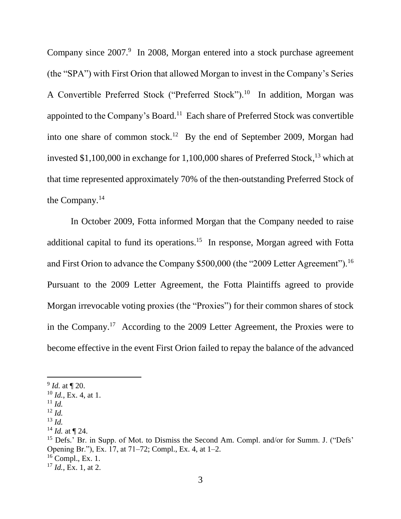Company since 2007.<sup>9</sup> In 2008, Morgan entered into a stock purchase agreement (the "SPA") with First Orion that allowed Morgan to invest in the Company's Series A Convertible Preferred Stock ("Preferred Stock").<sup>10</sup> In addition, Morgan was appointed to the Company's Board.<sup>11</sup> Each share of Preferred Stock was convertible into one share of common stock.<sup>12</sup> By the end of September 2009, Morgan had invested \$1,100,000 in exchange for 1,100,000 shares of Preferred Stock, <sup>13</sup> which at that time represented approximately 70% of the then-outstanding Preferred Stock of the Company.<sup>14</sup>

In October 2009, Fotta informed Morgan that the Company needed to raise additional capital to fund its operations.<sup>15</sup> In response, Morgan agreed with Fotta and First Orion to advance the Company \$500,000 (the "2009 Letter Agreement").<sup>16</sup> Pursuant to the 2009 Letter Agreement, the Fotta Plaintiffs agreed to provide Morgan irrevocable voting proxies (the "Proxies") for their common shares of stock in the Company.<sup>17</sup> According to the 2009 Letter Agreement, the Proxies were to become effective in the event First Orion failed to repay the balance of the advanced

 $11$  *Id.* 

 $\overline{a}$ 

<sup>12</sup> *Id.*

<sup>9</sup> *Id.* at ¶ 20.

<sup>10</sup> *Id.*, Ex. 4, at 1.

<sup>13</sup> *Id.*

<sup>14</sup> *Id.* at ¶ 24.

<sup>&</sup>lt;sup>15</sup> Defs.<sup> $\cdot$ </sup> Br. in Supp. of Mot. to Dismiss the Second Am. Compl. and/or for Summ. J. ("Defs' Opening Br."), Ex. 17, at 71–72; Compl., Ex. 4, at 1–2.

 $16$  Compl., Ex. 1.

<sup>17</sup> *Id.*, Ex. 1, at 2.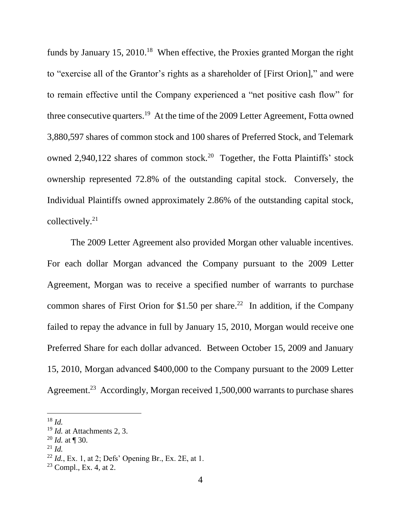funds by January 15, 2010.<sup>18</sup> When effective, the Proxies granted Morgan the right to "exercise all of the Grantor's rights as a shareholder of [First Orion]," and were to remain effective until the Company experienced a "net positive cash flow" for three consecutive quarters.<sup>19</sup> At the time of the 2009 Letter Agreement, Fotta owned 3,880,597 shares of common stock and 100 shares of Preferred Stock, and Telemark owned 2,940,122 shares of common stock.<sup>20</sup> Together, the Fotta Plaintiffs' stock ownership represented 72.8% of the outstanding capital stock. Conversely, the Individual Plaintiffs owned approximately 2.86% of the outstanding capital stock, collectively.<sup>21</sup>

The 2009 Letter Agreement also provided Morgan other valuable incentives. For each dollar Morgan advanced the Company pursuant to the 2009 Letter Agreement, Morgan was to receive a specified number of warrants to purchase common shares of First Orion for \$1.50 per share.<sup>22</sup> In addition, if the Company failed to repay the advance in full by January 15, 2010, Morgan would receive one Preferred Share for each dollar advanced. Between October 15, 2009 and January 15, 2010, Morgan advanced \$400,000 to the Company pursuant to the 2009 Letter Agreement.<sup>23</sup> Accordingly, Morgan received 1,500,000 warrants to purchase shares

<sup>18</sup> *Id.*

<sup>19</sup> *Id.* at Attachments 2, 3.

<sup>20</sup> *Id.* at ¶ 30.

 $^{21}$  *Id.* 

<sup>22</sup> *Id.*, Ex. 1, at 2; Defs' Opening Br., Ex. 2E, at 1.

 $23$  Compl., Ex. 4, at 2.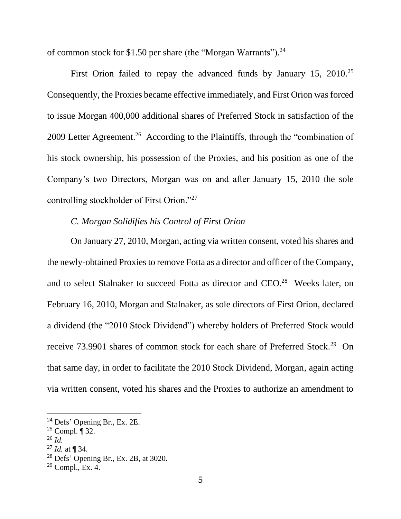of common stock for \$1.50 per share (the "Morgan Warrants").<sup>24</sup>

First Orion failed to repay the advanced funds by January 15, 2010.<sup>25</sup> Consequently, the Proxies became effective immediately, and First Orion was forced to issue Morgan 400,000 additional shares of Preferred Stock in satisfaction of the 2009 Letter Agreement.<sup>26</sup> According to the Plaintiffs, through the "combination of his stock ownership, his possession of the Proxies, and his position as one of the Company's two Directors, Morgan was on and after January 15, 2010 the sole controlling stockholder of First Orion."<sup>27</sup>

# *C. Morgan Solidifies his Control of First Orion*

On January 27, 2010, Morgan, acting via written consent, voted his shares and the newly-obtained Proxies to remove Fotta as a director and officer of the Company, and to select Stalnaker to succeed Fotta as director and CEO.<sup>28</sup> Weeks later, on February 16, 2010, Morgan and Stalnaker, as sole directors of First Orion, declared a dividend (the "2010 Stock Dividend") whereby holders of Preferred Stock would receive 73.9901 shares of common stock for each share of Preferred Stock.<sup>29</sup> On that same day, in order to facilitate the 2010 Stock Dividend, Morgan, again acting via written consent, voted his shares and the Proxies to authorize an amendment to

 $24$  Defs' Opening Br., Ex. 2E.

 $25$  Compl.  $\P$  32.

<sup>26</sup> *Id.*

<sup>27</sup> *Id.* at ¶ 34.

<sup>28</sup> Defs' Opening Br., Ex. 2B, at 3020.

 $29$  Compl., Ex. 4.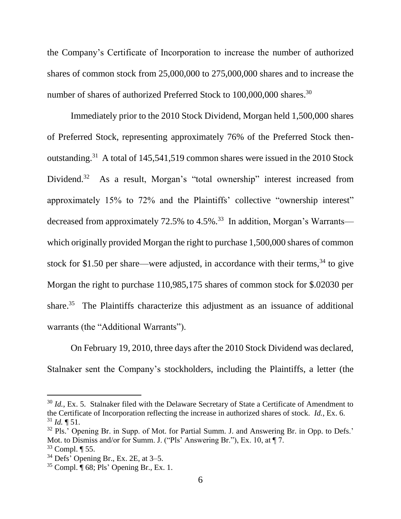the Company's Certificate of Incorporation to increase the number of authorized shares of common stock from 25,000,000 to 275,000,000 shares and to increase the number of shares of authorized Preferred Stock to 100,000,000 shares.<sup>30</sup>

Immediately prior to the 2010 Stock Dividend, Morgan held 1,500,000 shares of Preferred Stock, representing approximately 76% of the Preferred Stock thenoutstanding.<sup>31</sup> A total of 145,541,519 common shares were issued in the 2010 Stock Dividend.<sup>32</sup> As a result, Morgan's "total ownership" interest increased from approximately 15% to 72% and the Plaintiffs' collective "ownership interest" decreased from approximately 72.5% to 4.5%.<sup>33</sup> In addition, Morgan's Warrants which originally provided Morgan the right to purchase 1,500,000 shares of common stock for \$1.50 per share—were adjusted, in accordance with their terms,  $34$  to give Morgan the right to purchase 110,985,175 shares of common stock for \$.02030 per share.<sup>35</sup> The Plaintiffs characterize this adjustment as an issuance of additional warrants (the "Additional Warrants").

On February 19, 2010, three days after the 2010 Stock Dividend was declared, Stalnaker sent the Company's stockholders, including the Plaintiffs, a letter (the

<sup>&</sup>lt;sup>30</sup> *Id.*, Ex. 5. Stalnaker filed with the Delaware Secretary of State a Certificate of Amendment to the Certificate of Incorporation reflecting the increase in authorized shares of stock. *Id.*, Ex. 6.  $31$  *Id.*  $\P$  51.

<sup>&</sup>lt;sup>32</sup> Pls.' Opening Br. in Supp. of Mot. for Partial Summ. J. and Answering Br. in Opp. to Defs.' Mot. to Dismiss and/or for Summ. J. ("Pls' Answering Br."), Ex. 10, at  $\P$  7.

 $33$  Compl.  $\P$  55.

 $34$  Defs<sup>3</sup> Opening Br., Ex. 2E, at  $3-5$ .

 $35$  Compl.  $\overline{\P}$  68; Pls' Opening Br., Ex. 1.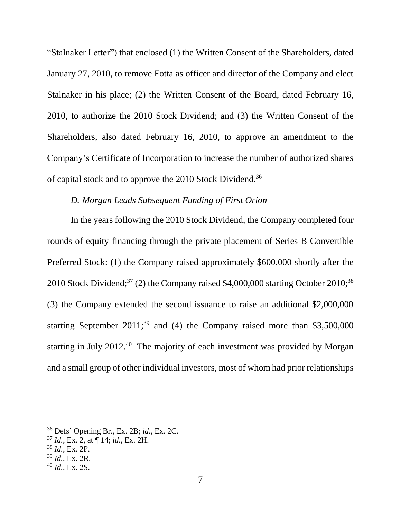"Stalnaker Letter") that enclosed (1) the Written Consent of the Shareholders, dated January 27, 2010, to remove Fotta as officer and director of the Company and elect Stalnaker in his place; (2) the Written Consent of the Board, dated February 16, 2010, to authorize the 2010 Stock Dividend; and (3) the Written Consent of the Shareholders, also dated February 16, 2010, to approve an amendment to the Company's Certificate of Incorporation to increase the number of authorized shares of capital stock and to approve the 2010 Stock Dividend.<sup>36</sup>

## *D. Morgan Leads Subsequent Funding of First Orion*

In the years following the 2010 Stock Dividend, the Company completed four rounds of equity financing through the private placement of Series B Convertible Preferred Stock: (1) the Company raised approximately \$600,000 shortly after the 2010 Stock Dividend;<sup>37</sup> (2) the Company raised \$4,000,000 starting October 2010;<sup>38</sup> (3) the Company extended the second issuance to raise an additional \$2,000,000 starting September 2011;<sup>39</sup> and (4) the Company raised more than \$3,500,000 starting in July  $2012<sup>40</sup>$  The majority of each investment was provided by Morgan and a small group of other individual investors, most of whom had prior relationships

<sup>38</sup> *Id.*, Ex. 2P.

<sup>36</sup> Defs' Opening Br., Ex. 2B; *id.*, Ex. 2C.

<sup>37</sup> *Id.*, Ex. 2, at ¶ 14; *id.*, Ex. 2H.

<sup>39</sup> *Id.*, Ex. 2R.

<sup>40</sup> *Id.*, Ex. 2S.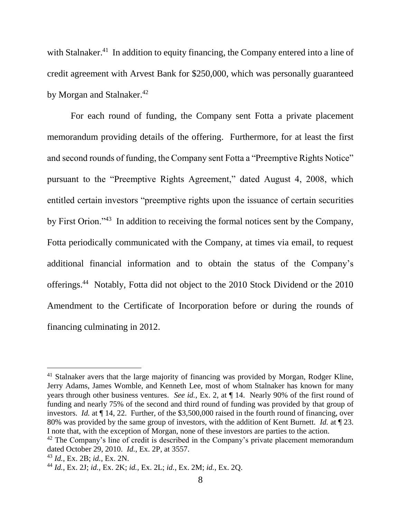with Stalnaker.<sup>41</sup> In addition to equity financing, the Company entered into a line of credit agreement with Arvest Bank for \$250,000, which was personally guaranteed by Morgan and Stalnaker.<sup>42</sup>

For each round of funding, the Company sent Fotta a private placement memorandum providing details of the offering. Furthermore, for at least the first and second rounds of funding, the Company sent Fotta a "Preemptive Rights Notice" pursuant to the "Preemptive Rights Agreement," dated August 4, 2008, which entitled certain investors "preemptive rights upon the issuance of certain securities by First Orion."<sup>43</sup> In addition to receiving the formal notices sent by the Company, Fotta periodically communicated with the Company, at times via email, to request additional financial information and to obtain the status of the Company's offerings. <sup>44</sup> Notably, Fotta did not object to the 2010 Stock Dividend or the 2010 Amendment to the Certificate of Incorporation before or during the rounds of financing culminating in 2012.

 $41$  Stalnaker avers that the large majority of financing was provided by Morgan, Rodger Kline, Jerry Adams, James Womble, and Kenneth Lee, most of whom Stalnaker has known for many years through other business ventures. *See id.*, Ex. 2, at ¶ 14. Nearly 90% of the first round of funding and nearly 75% of the second and third round of funding was provided by that group of investors. *Id.* at ¶ 14, 22. Further, of the \$3,500,000 raised in the fourth round of financing, over 80% was provided by the same group of investors, with the addition of Kent Burnett. *Id.* at ¶ 23. I note that, with the exception of Morgan, none of these investors are parties to the action.

<sup>&</sup>lt;sup>42</sup> The Company's line of credit is described in the Company's private placement memorandum dated October 29, 2010. *Id.*, Ex. 2P, at 3557.

<sup>43</sup> *Id.*, Ex. 2B; *id.*, Ex. 2N.

<sup>44</sup> *Id.*, Ex. 2J; *id.*, Ex. 2K; *id.*, Ex. 2L; *id.*, Ex. 2M; *id.*, Ex. 2Q.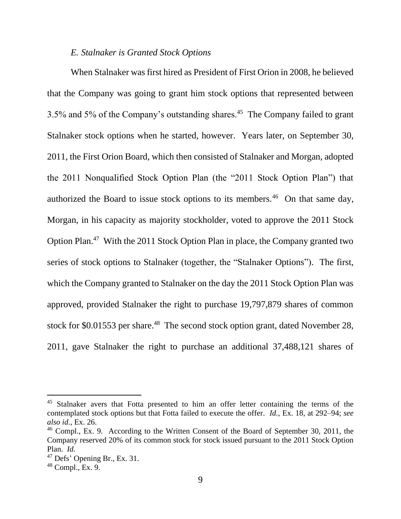### *E. Stalnaker is Granted Stock Options*

When Stalnaker was first hired as President of First Orion in 2008, he believed that the Company was going to grant him stock options that represented between 3.5% and 5% of the Company's outstanding shares. $45$  The Company failed to grant Stalnaker stock options when he started, however. Years later, on September 30, 2011, the First Orion Board, which then consisted of Stalnaker and Morgan, adopted the 2011 Nonqualified Stock Option Plan (the "2011 Stock Option Plan") that authorized the Board to issue stock options to its members.<sup>46</sup> On that same day, Morgan, in his capacity as majority stockholder, voted to approve the 2011 Stock Option Plan.<sup>47</sup> With the 2011 Stock Option Plan in place, the Company granted two series of stock options to Stalnaker (together, the "Stalnaker Options"). The first, which the Company granted to Stalnaker on the day the 2011 Stock Option Plan was approved, provided Stalnaker the right to purchase 19,797,879 shares of common stock for \$0.01553 per share. $48$  The second stock option grant, dated November 28, 2011, gave Stalnaker the right to purchase an additional 37,488,121 shares of

<sup>&</sup>lt;sup>45</sup> Stalnaker avers that Fotta presented to him an offer letter containing the terms of the contemplated stock options but that Fotta failed to execute the offer. *Id.*, Ex. 18, at 292–94; *see also id.*, Ex. 26.

<sup>&</sup>lt;sup>46</sup> Compl., Ex. 9. According to the Written Consent of the Board of September 30, 2011, the Company reserved 20% of its common stock for stock issued pursuant to the 2011 Stock Option Plan. *Id.*

<sup>47</sup> Defs' Opening Br., Ex. 31.

 $48$  Compl., Ex. 9.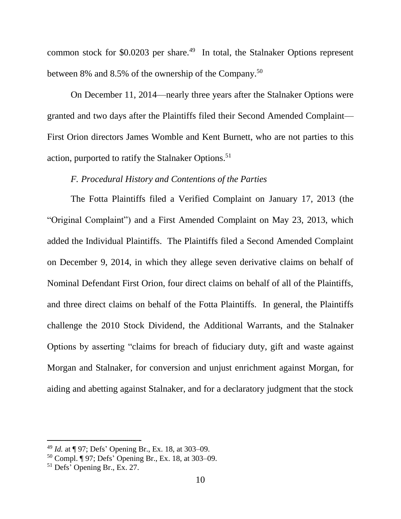common stock for  $$0.0203$  per share.<sup>49</sup> In total, the Stalnaker Options represent between 8% and 8.5% of the ownership of the Company.<sup>50</sup>

On December 11, 2014—nearly three years after the Stalnaker Options were granted and two days after the Plaintiffs filed their Second Amended Complaint— First Orion directors James Womble and Kent Burnett, who are not parties to this action, purported to ratify the Stalnaker Options.<sup>51</sup>

## *F. Procedural History and Contentions of the Parties*

The Fotta Plaintiffs filed a Verified Complaint on January 17, 2013 (the "Original Complaint") and a First Amended Complaint on May 23, 2013, which added the Individual Plaintiffs. The Plaintiffs filed a Second Amended Complaint on December 9, 2014, in which they allege seven derivative claims on behalf of Nominal Defendant First Orion, four direct claims on behalf of all of the Plaintiffs, and three direct claims on behalf of the Fotta Plaintiffs. In general, the Plaintiffs challenge the 2010 Stock Dividend, the Additional Warrants, and the Stalnaker Options by asserting "claims for breach of fiduciary duty, gift and waste against Morgan and Stalnaker, for conversion and unjust enrichment against Morgan, for aiding and abetting against Stalnaker, and for a declaratory judgment that the stock

<sup>49</sup> *Id.* at ¶ 97; Defs' Opening Br., Ex. 18, at 303–09.

<sup>50</sup> Compl. ¶ 97; Defs' Opening Br., Ex. 18, at 303–09.

<sup>51</sup> Defs' Opening Br., Ex. 27.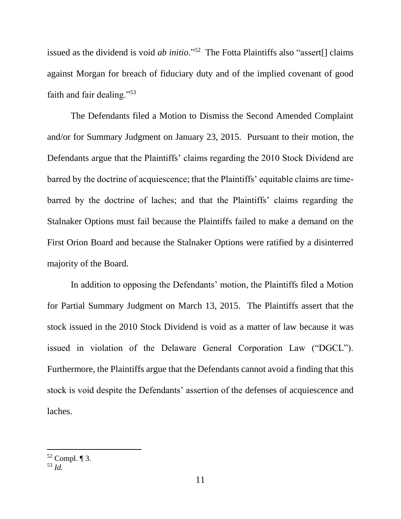issued as the dividend is void *ab initio*."<sup>52</sup> The Fotta Plaintiffs also "assert[] claims against Morgan for breach of fiduciary duty and of the implied covenant of good faith and fair dealing."<sup>53</sup>

The Defendants filed a Motion to Dismiss the Second Amended Complaint and/or for Summary Judgment on January 23, 2015. Pursuant to their motion, the Defendants argue that the Plaintiffs' claims regarding the 2010 Stock Dividend are barred by the doctrine of acquiescence; that the Plaintiffs' equitable claims are timebarred by the doctrine of laches; and that the Plaintiffs' claims regarding the Stalnaker Options must fail because the Plaintiffs failed to make a demand on the First Orion Board and because the Stalnaker Options were ratified by a disinterred majority of the Board.

In addition to opposing the Defendants' motion, the Plaintiffs filed a Motion for Partial Summary Judgment on March 13, 2015. The Plaintiffs assert that the stock issued in the 2010 Stock Dividend is void as a matter of law because it was issued in violation of the Delaware General Corporation Law ("DGCL"). Furthermore, the Plaintiffs argue that the Defendants cannot avoid a finding that this stock is void despite the Defendants' assertion of the defenses of acquiescence and laches.

 $52$  Compl. ¶ 3.

<sup>53</sup> *Id.*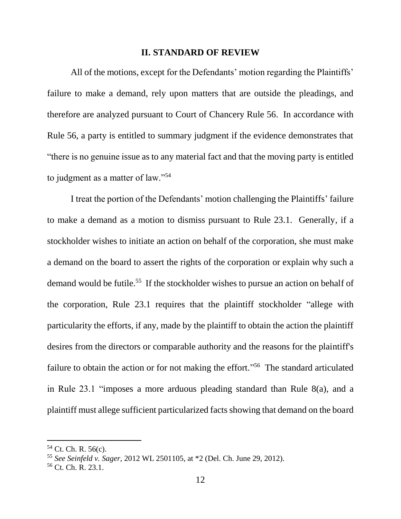#### **II. STANDARD OF REVIEW**

All of the motions, except for the Defendants' motion regarding the Plaintiffs' failure to make a demand, rely upon matters that are outside the pleadings, and therefore are analyzed pursuant to Court of Chancery Rule 56. In accordance with Rule 56, a party is entitled to summary judgment if the evidence demonstrates that "there is no genuine issue as to any material fact and that the moving party is entitled to judgment as a matter of law."<sup>54</sup>

I treat the portion of the Defendants' motion challenging the Plaintiffs' failure to make a demand as a motion to dismiss pursuant to Rule 23.1. Generally, if a stockholder wishes to initiate an action on behalf of the corporation, she must make a demand on the board to assert the rights of the corporation or explain why such a demand would be futile. 55 If the stockholder wishes to pursue an action on behalf of the corporation, Rule 23.1 requires that the plaintiff stockholder "allege with particularity the efforts, if any, made by the plaintiff to obtain the action the plaintiff desires from the directors or comparable authority and the reasons for the plaintiff's failure to obtain the action or for not making the effort."<sup>56</sup> The standard articulated in Rule 23.1 "imposes a more arduous pleading standard than Rule 8(a), and a plaintiff must allege sufficient particularized facts showing that demand on the board

 $54$  Ct. Ch. R. 56(c).

<sup>55</sup> *See Seinfeld v. Sager*, 2012 WL 2501105, at \*2 (Del. Ch. June 29, 2012).

<sup>56</sup> Ct. Ch. R. 23.1.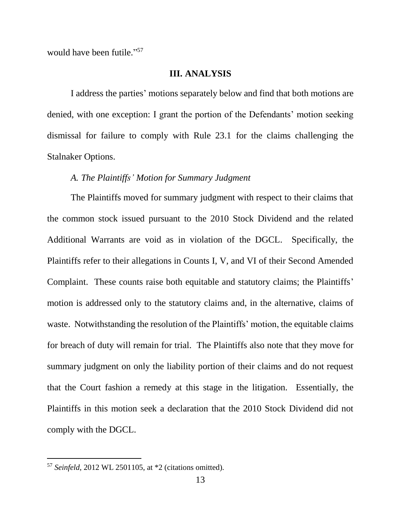would have been futile." 57

### **III. ANALYSIS**

I address the parties' motions separately below and find that both motions are denied, with one exception: I grant the portion of the Defendants' motion seeking dismissal for failure to comply with Rule 23.1 for the claims challenging the Stalnaker Options.

### *A. The Plaintiffs' Motion for Summary Judgment*

The Plaintiffs moved for summary judgment with respect to their claims that the common stock issued pursuant to the 2010 Stock Dividend and the related Additional Warrants are void as in violation of the DGCL. Specifically, the Plaintiffs refer to their allegations in Counts I, V, and VI of their Second Amended Complaint.These counts raise both equitable and statutory claims; the Plaintiffs' motion is addressed only to the statutory claims and, in the alternative, claims of waste. Notwithstanding the resolution of the Plaintiffs' motion, the equitable claims for breach of duty will remain for trial. The Plaintiffs also note that they move for summary judgment on only the liability portion of their claims and do not request that the Court fashion a remedy at this stage in the litigation.Essentially, the Plaintiffs in this motion seek a declaration that the 2010 Stock Dividend did not comply with the DGCL.

<sup>57</sup> *Seinfeld*, 2012 WL 2501105, at \*2 (citations omitted).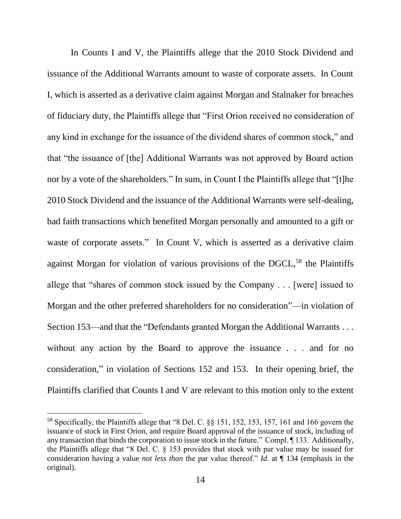In Counts I and V, the Plaintiffs allege that the 2010 Stock Dividend and issuance of the Additional Warrants amount to waste of corporate assets. In Count I, which is asserted as a derivative claim against Morgan and Stalnaker for breaches of fiduciary duty, the Plaintiffs allege that "First Orion received no consideration of any kind in exchange for the issuance of the dividend shares of common stock," and that "the issuance of [the] Additional Warrants was not approved by Board action nor by a vote of the shareholders." In sum, in Count I the Plaintiffs allege that "[t]he 2010 Stock Dividend and the issuance of the Additional Warrants were self-dealing, bad faith transactions which benefited Morgan personally and amounted to a gift or waste of corporate assets." In Count V, which is asserted as a derivative claim against Morgan for violation of various provisions of the DGCL,<sup>58</sup> the Plaintiffs allege that "shares of common stock issued by the Company . . . [were] issued to Morgan and the other preferred shareholders for no consideration"—in violation of Section 153—and that the "Defendants granted Morgan the Additional Warrants . . . without any action by the Board to approve the issuance . . . and for no consideration," in violation of Sections 152 and 153. In their opening brief, the Plaintiffs clarified that Counts I and V are relevant to this motion only to the extent

<sup>58</sup> Specifically, the Plaintiffs allege that "8 Del. C. §§ 151, 152, 153, 157, 161 and 166 govern the issuance of stock in First Orion, and require Board approval of the issuance of stock, including of any transaction that binds the corporation to issue stock in the future." Compl. ¶ 133. Additionally, the Plaintiffs allege that "8 Del. C. § 153 provides that stock with par value may be issued for consideration having a value *not less than* the par value thereof." *Id.* at ¶ 134 (emphasis in the original).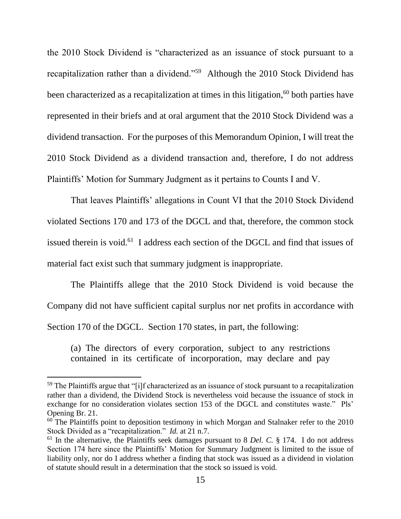the 2010 Stock Dividend is "characterized as an issuance of stock pursuant to a recapitalization rather than a dividend."<sup>59</sup> Although the 2010 Stock Dividend has been characterized as a recapitalization at times in this litigation, $60$  both parties have represented in their briefs and at oral argument that the 2010 Stock Dividend was a dividend transaction. For the purposes of this Memorandum Opinion, I will treat the 2010 Stock Dividend as a dividend transaction and, therefore, I do not address Plaintiffs' Motion for Summary Judgment as it pertains to Counts I and V.

That leaves Plaintiffs' allegations in Count VI that the 2010 Stock Dividend violated Sections 170 and 173 of the DGCL and that, therefore, the common stock issued therein is void.<sup>61</sup> I address each section of the DGCL and find that issues of material fact exist such that summary judgment is inappropriate.

The Plaintiffs allege that the 2010 Stock Dividend is void because the Company did not have sufficient capital surplus nor net profits in accordance with Section 170 of the DGCL. Section 170 states, in part, the following:

(a) The directors of every corporation, subject to any restrictions contained in its certificate of incorporation, may declare and pay

<sup>59</sup> The Plaintiffs argue that "[i]f characterized as an issuance of stock pursuant to a recapitalization rather than a dividend, the Dividend Stock is nevertheless void because the issuance of stock in exchange for no consideration violates section 153 of the DGCL and constitutes waste." Pls' Opening Br. 21.

 $60$  The Plaintiffs point to deposition testimony in which Morgan and Stalnaker refer to the 2010 Stock Divided as a "recapitalization." *Id.* at 21 n.7.

<sup>61</sup> In the alternative, the Plaintiffs seek damages pursuant to 8 *Del. C.* § 174. I do not address Section 174 here since the Plaintiffs' Motion for Summary Judgment is limited to the issue of liability only, nor do I address whether a finding that stock was issued as a dividend in violation of statute should result in a determination that the stock so issued is void.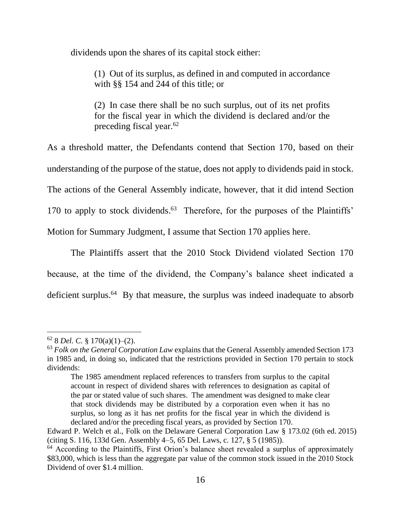dividends upon the shares of its capital stock either:

(1) Out of its surplus, as defined in and computed in accordance with §§ 154 and 244 of this title; or

(2) In case there shall be no such surplus, out of its net profits for the fiscal year in which the dividend is declared and/or the preceding fiscal year.<sup>62</sup>

As a threshold matter, the Defendants contend that Section 170, based on their understanding of the purpose of the statue, does not apply to dividends paid in stock. The actions of the General Assembly indicate, however, that it did intend Section 170 to apply to stock dividends. 63 Therefore, for the purposes of the Plaintiffs' Motion for Summary Judgment, I assume that Section 170 applies here.

The Plaintiffs assert that the 2010 Stock Dividend violated Section 170 because, at the time of the dividend, the Company's balance sheet indicated a deficient surplus.<sup>64</sup> By that measure, the surplus was indeed inadequate to absorb

 $62$  8 *Del. C.* § 170(a)(1)–(2).

<sup>63</sup> *Folk on the General Corporation Law* explains that the General Assembly amended Section 173 in 1985 and, in doing so, indicated that the restrictions provided in Section 170 pertain to stock dividends:

The 1985 amendment replaced references to transfers from surplus to the capital account in respect of dividend shares with references to designation as capital of the par or stated value of such shares. The amendment was designed to make clear that stock dividends may be distributed by a corporation even when it has no surplus, so long as it has net profits for the fiscal year in which the dividend is declared and/or the preceding fiscal years, as provided by Section 170.

Edward P. Welch et al., Folk on the Delaware General Corporation Law § 173.02 (6th ed. 2015) (citing S. 116, 133d Gen. Assembly 4–5, 65 Del. Laws, c. 127, § 5 (1985)).

 $64$  According to the Plaintiffs, First Orion's balance sheet revealed a surplus of approximately \$83,000, which is less than the aggregate par value of the common stock issued in the 2010 Stock Dividend of over \$1.4 million.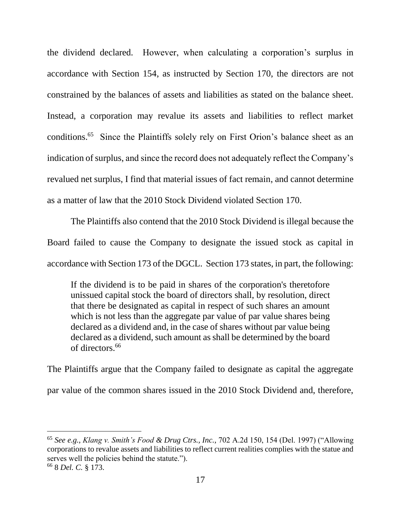the dividend declared. However, when calculating a corporation's surplus in accordance with Section 154, as instructed by Section 170, the directors are not constrained by the balances of assets and liabilities as stated on the balance sheet. Instead, a corporation may revalue its assets and liabilities to reflect market conditions.<sup>65</sup> Since the Plaintiffs solely rely on First Orion's balance sheet as an indication of surplus, and since the record does not adequately reflect the Company's revalued net surplus, I find that material issues of fact remain, and cannot determine as a matter of law that the 2010 Stock Dividend violated Section 170.

The Plaintiffs also contend that the 2010 Stock Dividend is illegal because the Board failed to cause the Company to designate the issued stock as capital in accordance with Section 173 of the DGCL. Section 173 states, in part, the following:

If the dividend is to be paid in shares of the corporation's theretofore unissued capital stock the board of directors shall, by resolution, direct that there be designated as capital in respect of such shares an amount which is not less than the aggregate par value of par value shares being declared as a dividend and, in the case of shares without par value being declared as a dividend, such amount as shall be determined by the board of directors<sup>66</sup>

The Plaintiffs argue that the Company failed to designate as capital the aggregate par value of the common shares issued in the 2010 Stock Dividend and, therefore,

<sup>65</sup> *See e.g.*, *Klang v. Smith's Food & Drug Ctrs., Inc.*, 702 A.2d 150, 154 (Del. 1997) ("Allowing corporations to revalue assets and liabilities to reflect current realities complies with the statue and serves well the policies behind the statute.").

<sup>66</sup> 8 *Del. C.* § 173.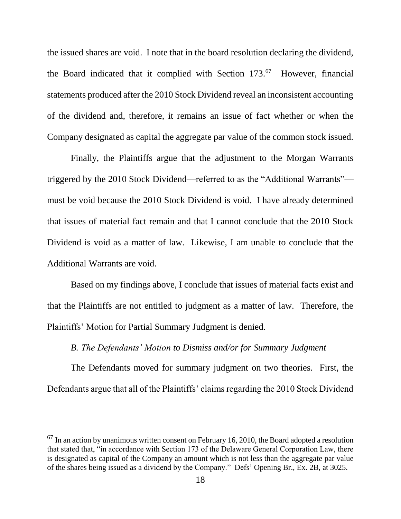the issued shares are void. I note that in the board resolution declaring the dividend, the Board indicated that it complied with Section 173.<sup>67</sup> However, financial statements produced after the 2010 Stock Dividend reveal an inconsistent accounting of the dividend and, therefore, it remains an issue of fact whether or when the Company designated as capital the aggregate par value of the common stock issued.

Finally, the Plaintiffs argue that the adjustment to the Morgan Warrants triggered by the 2010 Stock Dividend—referred to as the "Additional Warrants" must be void because the 2010 Stock Dividend is void. I have already determined that issues of material fact remain and that I cannot conclude that the 2010 Stock Dividend is void as a matter of law. Likewise, I am unable to conclude that the Additional Warrants are void.

Based on my findings above, I conclude that issues of material facts exist and that the Plaintiffs are not entitled to judgment as a matter of law. Therefore, the Plaintiffs' Motion for Partial Summary Judgment is denied.

### *B. The Defendants' Motion to Dismiss and/or for Summary Judgment*

The Defendants moved for summary judgment on two theories. First, the Defendants argue that all of the Plaintiffs' claims regarding the 2010 Stock Dividend

 $^{67}$  In an action by unanimous written consent on February 16, 2010, the Board adopted a resolution that stated that, "in accordance with Section 173 of the Delaware General Corporation Law, there is designated as capital of the Company an amount which is not less than the aggregate par value of the shares being issued as a dividend by the Company." Defs' Opening Br., Ex. 2B, at 3025.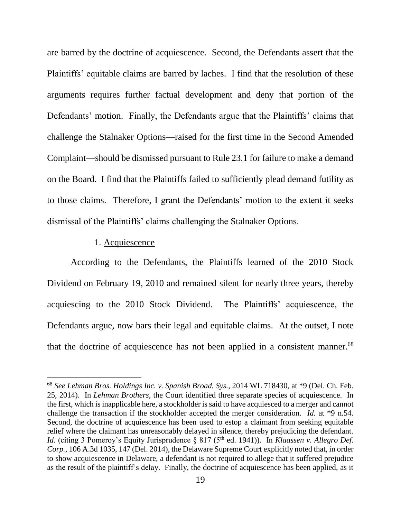are barred by the doctrine of acquiescence. Second, the Defendants assert that the Plaintiffs' equitable claims are barred by laches. I find that the resolution of these arguments requires further factual development and deny that portion of the Defendants' motion. Finally, the Defendants argue that the Plaintiffs' claims that challenge the Stalnaker Options—raised for the first time in the Second Amended Complaint—should be dismissed pursuant to Rule 23.1 for failure to make a demand on the Board. I find that the Plaintiffs failed to sufficiently plead demand futility as to those claims. Therefore, I grant the Defendants' motion to the extent it seeks dismissal of the Plaintiffs' claims challenging the Stalnaker Options.

### 1. Acquiescence

 $\overline{a}$ 

According to the Defendants, the Plaintiffs learned of the 2010 Stock Dividend on February 19, 2010 and remained silent for nearly three years, thereby acquiescing to the 2010 Stock Dividend. The Plaintiffs' acquiescence, the Defendants argue, now bars their legal and equitable claims. At the outset, I note that the doctrine of acquiescence has not been applied in a consistent manner.<sup>68</sup>

<sup>68</sup> *See Lehman Bros. Holdings Inc. v. Spanish Broad. Sys.*, 2014 WL 718430, at \*9 (Del. Ch. Feb. 25, 2014). In *Lehman Brothers*, the Court identified three separate species of acquiescence. In the first, which is inapplicable here, a stockholder is said to have acquiesced to a merger and cannot challenge the transaction if the stockholder accepted the merger consideration. *Id.* at \*9 n.54. Second, the doctrine of acquiescence has been used to estop a claimant from seeking equitable relief where the claimant has unreasonably delayed in silence, thereby prejudicing the defendant. *Id.* (citing 3 Pomeroy's Equity Jurisprudence  $\S 817 (5<sup>th</sup>$  ed. 1941)). In *Klaassen v. Allegro Def. Corp.*, 106 A.3d 1035, 147 (Del. 2014), the Delaware Supreme Court explicitly noted that, in order to show acquiescence in Delaware, a defendant is not required to allege that it suffered prejudice as the result of the plaintiff's delay. Finally, the doctrine of acquiescence has been applied, as it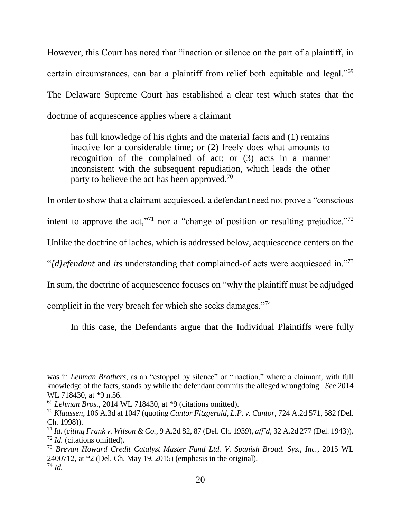However, this Court has noted that "inaction or silence on the part of a plaintiff, in certain circumstances, can bar a plaintiff from relief both equitable and legal."<sup>69</sup> The Delaware Supreme Court has established a clear test which states that the doctrine of acquiescence applies where a claimant

has full knowledge of his rights and the material facts and (1) remains inactive for a considerable time; or (2) freely does what amounts to recognition of the complained of act; or (3) acts in a manner inconsistent with the subsequent repudiation, which leads the other party to believe the act has been approved.<sup>70</sup>

In order to show that a claimant acquiesced, a defendant need not prove a "conscious

intent to approve the act,"<sup>71</sup> nor a "change of position or resulting prejudice."<sup>72</sup>

Unlike the doctrine of laches, which is addressed below, acquiescence centers on the

"*[d]efendant* and *its* understanding that complained-of acts were acquiesced in."<sup>73</sup>

In sum, the doctrine of acquiescence focuses on "why the plaintiff must be adjudged

complicit in the very breach for which she seeks damages."<sup>74</sup>

In this case, the Defendants argue that the Individual Plaintiffs were fully

was in *Lehman Brothers*, as an "estoppel by silence" or "inaction," where a claimant, with full knowledge of the facts, stands by while the defendant commits the alleged wrongdoing. *See* 2014 WL 718430, at \*9 n.56.

<sup>69</sup> *Lehman Bros.*, 2014 WL 718430, at \*9 (citations omitted).

<sup>70</sup> *Klaassen*, 106 A.3d at 1047 (quoting *Cantor Fitzgerald, L.P. v. Cantor*, 724 A.2d 571, 582 (Del. Ch. 1998)).

<sup>71</sup> *Id.* (*citing Frank v. Wilson & Co.*, 9 A.2d 82, 87 (Del. Ch. 1939), *aff'd*, 32 A.2d 277 (Del. 1943)). <sup>72</sup> *Id.* (citations omitted).

<sup>73</sup> *Brevan Howard Credit Catalyst Master Fund Ltd. V. Spanish Broad. Sys., Inc.*, 2015 WL 2400712, at \*2 (Del. Ch. May 19, 2015) (emphasis in the original). <sup>74</sup> *Id.*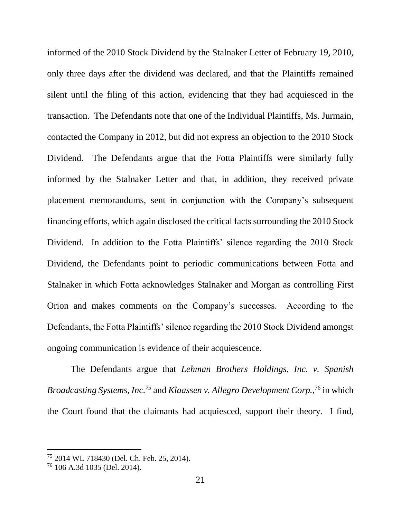informed of the 2010 Stock Dividend by the Stalnaker Letter of February 19, 2010, only three days after the dividend was declared, and that the Plaintiffs remained silent until the filing of this action, evidencing that they had acquiesced in the transaction. The Defendants note that one of the Individual Plaintiffs, Ms. Jurmain, contacted the Company in 2012, but did not express an objection to the 2010 Stock Dividend. The Defendants argue that the Fotta Plaintiffs were similarly fully informed by the Stalnaker Letter and that, in addition, they received private placement memorandums, sent in conjunction with the Company's subsequent financing efforts, which again disclosed the critical facts surrounding the 2010 Stock Dividend. In addition to the Fotta Plaintiffs' silence regarding the 2010 Stock Dividend, the Defendants point to periodic communications between Fotta and Stalnaker in which Fotta acknowledges Stalnaker and Morgan as controlling First Orion and makes comments on the Company's successes. According to the Defendants, the Fotta Plaintiffs' silence regarding the 2010 Stock Dividend amongst ongoing communication is evidence of their acquiescence.

The Defendants argue that *Lehman Brothers Holdings, Inc. v. Spanish Broadcasting Systems, Inc.<sup>75</sup>* and *Klaassen v. Allegro Development Corp.*, <sup>76</sup> in which the Court found that the claimants had acquiesced, support their theory. I find,

<sup>75</sup> 2014 WL 718430 (Del. Ch. Feb. 25, 2014).

<sup>76</sup> 106 A.3d 1035 (Del. 2014).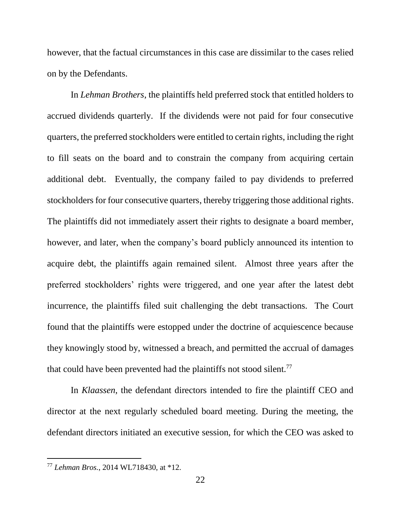however, that the factual circumstances in this case are dissimilar to the cases relied on by the Defendants.

In *Lehman Brothers*, the plaintiffs held preferred stock that entitled holders to accrued dividends quarterly. If the dividends were not paid for four consecutive quarters, the preferred stockholders were entitled to certain rights, including the right to fill seats on the board and to constrain the company from acquiring certain additional debt. Eventually, the company failed to pay dividends to preferred stockholders for four consecutive quarters, thereby triggering those additional rights. The plaintiffs did not immediately assert their rights to designate a board member, however, and later, when the company's board publicly announced its intention to acquire debt, the plaintiffs again remained silent. Almost three years after the preferred stockholders' rights were triggered, and one year after the latest debt incurrence, the plaintiffs filed suit challenging the debt transactions. The Court found that the plaintiffs were estopped under the doctrine of acquiescence because they knowingly stood by, witnessed a breach, and permitted the accrual of damages that could have been prevented had the plaintiffs not stood silent.<sup>77</sup>

In *Klaassen*, the defendant directors intended to fire the plaintiff CEO and director at the next regularly scheduled board meeting. During the meeting, the defendant directors initiated an executive session, for which the CEO was asked to

<sup>77</sup> *Lehman Bros.*, 2014 WL718430, at \*12.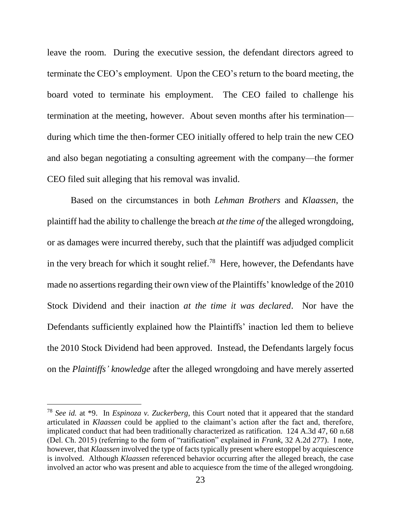leave the room. During the executive session, the defendant directors agreed to terminate the CEO's employment. Upon the CEO's return to the board meeting, the board voted to terminate his employment. The CEO failed to challenge his termination at the meeting, however. About seven months after his termination during which time the then-former CEO initially offered to help train the new CEO and also began negotiating a consulting agreement with the company—the former CEO filed suit alleging that his removal was invalid.

Based on the circumstances in both *Lehman Brothers* and *Klaassen*, the plaintiff had the ability to challenge the breach *at the time of* the alleged wrongdoing, or as damages were incurred thereby, such that the plaintiff was adjudged complicit in the very breach for which it sought relief.<sup>78</sup> Here, however, the Defendants have made no assertions regarding their own view of the Plaintiffs' knowledge of the 2010 Stock Dividend and their inaction *at the time it was declared*. Nor have the Defendants sufficiently explained how the Plaintiffs' inaction led them to believe the 2010 Stock Dividend had been approved. Instead, the Defendants largely focus on the *Plaintiffs' knowledge* after the alleged wrongdoing and have merely asserted

<sup>78</sup> *See id.* at \*9. In *Espinoza v. Zuckerberg*, this Court noted that it appeared that the standard articulated in *Klaassen* could be applied to the claimant's action after the fact and, therefore, implicated conduct that had been traditionally characterized as ratification. 124 A.3d 47, 60 n.68 (Del. Ch. 2015) (referring to the form of "ratification" explained in *Frank*, 32 A.2d 277). I note, however, that *Klaassen* involved the type of facts typically present where estoppel by acquiescence is involved. Although *Klaassen* referenced behavior occurring after the alleged breach, the case involved an actor who was present and able to acquiesce from the time of the alleged wrongdoing.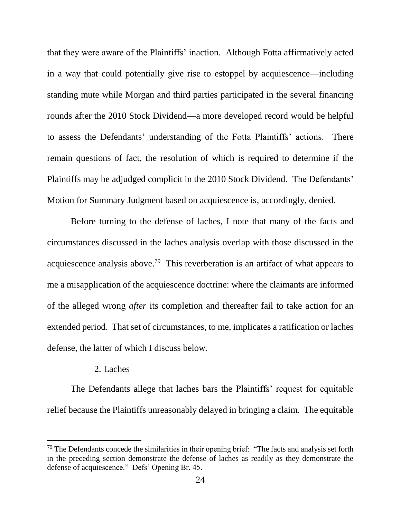that they were aware of the Plaintiffs' inaction. Although Fotta affirmatively acted in a way that could potentially give rise to estoppel by acquiescence—including standing mute while Morgan and third parties participated in the several financing rounds after the 2010 Stock Dividend—a more developed record would be helpful to assess the Defendants' understanding of the Fotta Plaintiffs' actions. There remain questions of fact, the resolution of which is required to determine if the Plaintiffs may be adjudged complicit in the 2010 Stock Dividend. The Defendants' Motion for Summary Judgment based on acquiescence is, accordingly, denied.

Before turning to the defense of laches, I note that many of the facts and circumstances discussed in the laches analysis overlap with those discussed in the acquiescence analysis above.<sup>79</sup> This reverberation is an artifact of what appears to me a misapplication of the acquiescence doctrine: where the claimants are informed of the alleged wrong *after* its completion and thereafter fail to take action for an extended period. That set of circumstances, to me, implicates a ratification or laches defense, the latter of which I discuss below.

#### 2. Laches

l

The Defendants allege that laches bars the Plaintiffs' request for equitable relief because the Plaintiffs unreasonably delayed in bringing a claim. The equitable

 $79$  The Defendants concede the similarities in their opening brief: "The facts and analysis set forth in the preceding section demonstrate the defense of laches as readily as they demonstrate the defense of acquiescence." Defs' Opening Br. 45.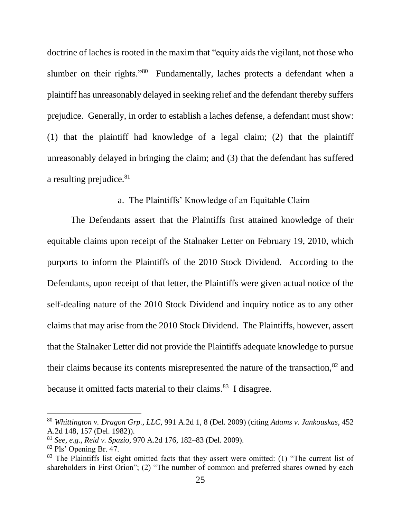doctrine of laches is rooted in the maxim that "equity aids the vigilant, not those who slumber on their rights."<sup>80</sup> Fundamentally, laches protects a defendant when a plaintiff has unreasonably delayed in seeking relief and the defendant thereby suffers prejudice. Generally, in order to establish a laches defense, a defendant must show: (1) that the plaintiff had knowledge of a legal claim; (2) that the plaintiff unreasonably delayed in bringing the claim; and (3) that the defendant has suffered a resulting prejudice.<sup>81</sup>

## a. The Plaintiffs' Knowledge of an Equitable Claim

The Defendants assert that the Plaintiffs first attained knowledge of their equitable claims upon receipt of the Stalnaker Letter on February 19, 2010, which purports to inform the Plaintiffs of the 2010 Stock Dividend. According to the Defendants, upon receipt of that letter, the Plaintiffs were given actual notice of the self-dealing nature of the 2010 Stock Dividend and inquiry notice as to any other claims that may arise from the 2010 Stock Dividend. The Plaintiffs, however, assert that the Stalnaker Letter did not provide the Plaintiffs adequate knowledge to pursue their claims because its contents misrepresented the nature of the transaction,<sup>82</sup> and because it omitted facts material to their claims.<sup>83</sup> I disagree.

<sup>80</sup> *Whittington v. Dragon Grp., LLC*, 991 A.2d 1, 8 (Del. 2009) (citing *Adams v. Jankouskas*, 452 A.2d 148, 157 (Del. 1982)).

<sup>81</sup> *See, e.g.*, *Reid v. Spazio*, 970 A.2d 176, 182–83 (Del. 2009).

<sup>82</sup> Pls' Opening Br. 47.

 $83$  The Plaintiffs list eight omitted facts that they assert were omitted: (1) "The current list of shareholders in First Orion"; (2) "The number of common and preferred shares owned by each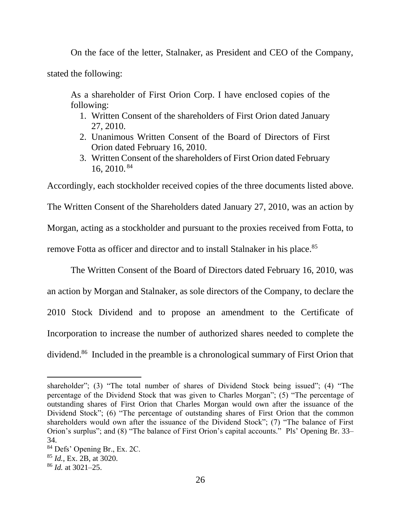On the face of the letter, Stalnaker, as President and CEO of the Company,

stated the following:

As a shareholder of First Orion Corp. I have enclosed copies of the following:

- 1. Written Consent of the shareholders of First Orion dated January 27, 2010.
- 2. Unanimous Written Consent of the Board of Directors of First Orion dated February 16, 2010.
- 3. Written Consent of the shareholders of First Orion dated February 16, 2010. <sup>84</sup>

Accordingly, each stockholder received copies of the three documents listed above.

The Written Consent of the Shareholders dated January 27, 2010, was an action by Morgan, acting as a stockholder and pursuant to the proxies received from Fotta, to remove Fotta as officer and director and to install Stalnaker in his place.<sup>85</sup>

The Written Consent of the Board of Directors dated February 16, 2010, was an action by Morgan and Stalnaker, as sole directors of the Company, to declare the 2010 Stock Dividend and to propose an amendment to the Certificate of Incorporation to increase the number of authorized shares needed to complete the dividend.<sup>86</sup> Included in the preamble is a chronological summary of First Orion that

shareholder"; (3) "The total number of shares of Dividend Stock being issued"; (4) "The percentage of the Dividend Stock that was given to Charles Morgan"; (5) "The percentage of outstanding shares of First Orion that Charles Morgan would own after the issuance of the Dividend Stock"; (6) "The percentage of outstanding shares of First Orion that the common shareholders would own after the issuance of the Dividend Stock"; (7) "The balance of First Orion's surplus"; and (8) "The balance of First Orion's capital accounts." Pls' Opening Br. 33– 34.

<sup>84</sup> Defs' Opening Br., Ex. 2C.

<sup>85</sup> *Id.*, Ex. 2B, at 3020.

<sup>86</sup> *Id.* at 3021–25.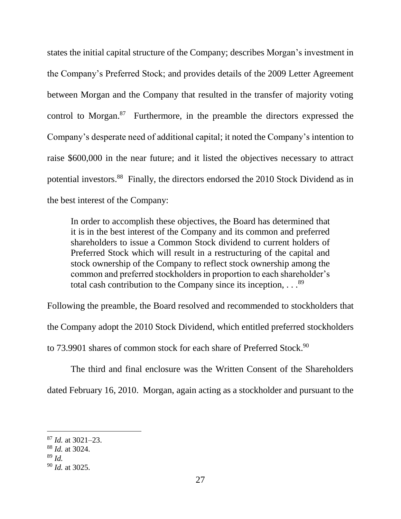states the initial capital structure of the Company; describes Morgan's investment in the Company's Preferred Stock; and provides details of the 2009 Letter Agreement between Morgan and the Company that resulted in the transfer of majority voting control to Morgan. $87$  Furthermore, in the preamble the directors expressed the Company's desperate need of additional capital; it noted the Company's intention to raise \$600,000 in the near future; and it listed the objectives necessary to attract potential investors.<sup>88</sup> Finally, the directors endorsed the 2010 Stock Dividend as in the best interest of the Company:

In order to accomplish these objectives, the Board has determined that it is in the best interest of the Company and its common and preferred shareholders to issue a Common Stock dividend to current holders of Preferred Stock which will result in a restructuring of the capital and stock ownership of the Company to reflect stock ownership among the common and preferred stockholders in proportion to each shareholder's total cash contribution to the Company since its inception,  $\ldots$ <sup>89</sup>

Following the preamble, the Board resolved and recommended to stockholders that the Company adopt the 2010 Stock Dividend, which entitled preferred stockholders to 73.9901 shares of common stock for each share of Preferred Stock.<sup>90</sup>

The third and final enclosure was the Written Consent of the Shareholders dated February 16, 2010. Morgan, again acting as a stockholder and pursuant to the

l <sup>87</sup> *Id.* at 3021–23.

<sup>88</sup> *Id.* at 3024.

<sup>89</sup> *Id.*

<sup>90</sup> *Id.* at 3025.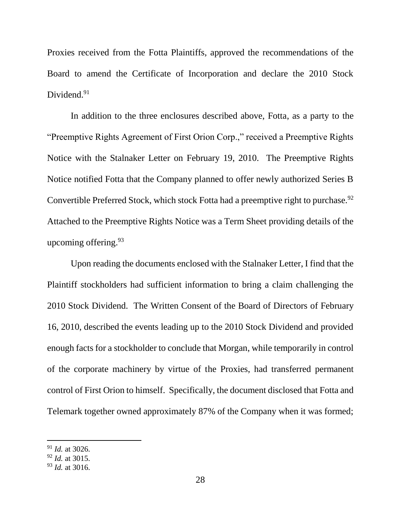Proxies received from the Fotta Plaintiffs, approved the recommendations of the Board to amend the Certificate of Incorporation and declare the 2010 Stock Dividend.<sup>91</sup>

In addition to the three enclosures described above, Fotta, as a party to the "Preemptive Rights Agreement of First Orion Corp.," received a Preemptive Rights Notice with the Stalnaker Letter on February 19, 2010. The Preemptive Rights Notice notified Fotta that the Company planned to offer newly authorized Series B Convertible Preferred Stock, which stock Fotta had a preemptive right to purchase.<sup>92</sup> Attached to the Preemptive Rights Notice was a Term Sheet providing details of the upcoming offering.  $93$ 

Upon reading the documents enclosed with the Stalnaker Letter, I find that the Plaintiff stockholders had sufficient information to bring a claim challenging the 2010 Stock Dividend. The Written Consent of the Board of Directors of February 16, 2010, described the events leading up to the 2010 Stock Dividend and provided enough facts for a stockholder to conclude that Morgan, while temporarily in control of the corporate machinery by virtue of the Proxies, had transferred permanent control of First Orion to himself. Specifically, the document disclosed that Fotta and Telemark together owned approximately 87% of the Company when it was formed;

<sup>91</sup> *Id.* at 3026.

<sup>92</sup> *Id.* at 3015.

<sup>93</sup> *Id.* at 3016.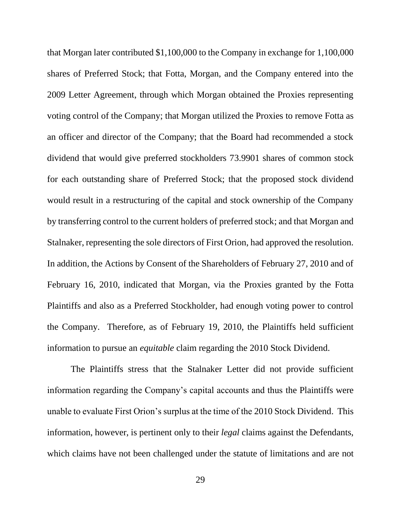that Morgan later contributed \$1,100,000 to the Company in exchange for 1,100,000 shares of Preferred Stock; that Fotta, Morgan, and the Company entered into the 2009 Letter Agreement, through which Morgan obtained the Proxies representing voting control of the Company; that Morgan utilized the Proxies to remove Fotta as an officer and director of the Company; that the Board had recommended a stock dividend that would give preferred stockholders 73.9901 shares of common stock for each outstanding share of Preferred Stock; that the proposed stock dividend would result in a restructuring of the capital and stock ownership of the Company by transferring control to the current holders of preferred stock; and that Morgan and Stalnaker, representing the sole directors of First Orion, had approved the resolution. In addition, the Actions by Consent of the Shareholders of February 27, 2010 and of February 16, 2010, indicated that Morgan, via the Proxies granted by the Fotta Plaintiffs and also as a Preferred Stockholder, had enough voting power to control the Company. Therefore, as of February 19, 2010, the Plaintiffs held sufficient information to pursue an *equitable* claim regarding the 2010 Stock Dividend.

The Plaintiffs stress that the Stalnaker Letter did not provide sufficient information regarding the Company's capital accounts and thus the Plaintiffs were unable to evaluate First Orion's surplus at the time of the 2010 Stock Dividend. This information, however, is pertinent only to their *legal* claims against the Defendants, which claims have not been challenged under the statute of limitations and are not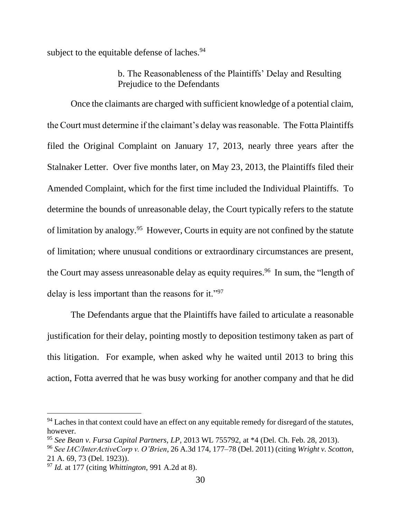subject to the equitable defense of laches.<sup>94</sup>

# b. The Reasonableness of the Plaintiffs' Delay and Resulting Prejudice to the Defendants

Once the claimants are charged with sufficient knowledge of a potential claim, the Court must determine if the claimant's delay was reasonable. The Fotta Plaintiffs filed the Original Complaint on January 17, 2013, nearly three years after the Stalnaker Letter. Over five months later, on May 23, 2013, the Plaintiffs filed their Amended Complaint, which for the first time included the Individual Plaintiffs. To determine the bounds of unreasonable delay, the Court typically refers to the statute of limitation by analogy.<sup>95</sup> However, Courts in equity are not confined by the statute of limitation; where unusual conditions or extraordinary circumstances are present, the Court may assess unreasonable delay as equity requires.<sup>96</sup> In sum, the "length of delay is less important than the reasons for it."<sup>97</sup>

The Defendants argue that the Plaintiffs have failed to articulate a reasonable justification for their delay, pointing mostly to deposition testimony taken as part of this litigation. For example, when asked why he waited until 2013 to bring this action, Fotta averred that he was busy working for another company and that he did

<sup>&</sup>lt;sup>94</sup> Laches in that context could have an effect on any equitable remedy for disregard of the statutes, however.

<sup>95</sup> *See Bean v. Fursa Capital Partners, LP*, 2013 WL 755792, at \*4 (Del. Ch. Feb. 28, 2013).

<sup>96</sup> *See IAC/InterActiveCorp v. O'Brien*, 26 A.3d 174, 177–78 (Del. 2011) (citing *Wright v. Scotton*, 21 A. 69, 73 (Del. 1923)).

<sup>97</sup> *Id.* at 177 (citing *Whittington*, 991 A.2d at 8).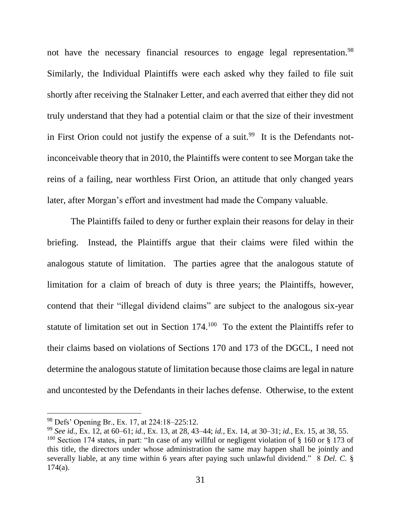not have the necessary financial resources to engage legal representation.<sup>98</sup> Similarly, the Individual Plaintiffs were each asked why they failed to file suit shortly after receiving the Stalnaker Letter, and each averred that either they did not truly understand that they had a potential claim or that the size of their investment in First Orion could not justify the expense of a suit.<sup>99</sup> It is the Defendants notinconceivable theory that in 2010, the Plaintiffs were content to see Morgan take the reins of a failing, near worthless First Orion, an attitude that only changed years later, after Morgan's effort and investment had made the Company valuable.

The Plaintiffs failed to deny or further explain their reasons for delay in their briefing. Instead, the Plaintiffs argue that their claims were filed within the analogous statute of limitation. The parties agree that the analogous statute of limitation for a claim of breach of duty is three years; the Plaintiffs, however, contend that their "illegal dividend claims" are subject to the analogous six-year statute of limitation set out in Section  $174<sup>100</sup>$  To the extent the Plaintiffs refer to their claims based on violations of Sections 170 and 173 of the DGCL, I need not determine the analogous statute of limitation because those claims are legal in nature and uncontested by the Defendants in their laches defense. Otherwise, to the extent

<sup>98</sup> Defs' Opening Br., Ex. 17, at 224:18–225:12.

<sup>99</sup> *See id.*, Ex. 12, at 60–61; *id.*, Ex. 13, at 28, 43–44; *id.*, Ex. 14, at 30–31; *id.*, Ex. 15, at 38, 55. <sup>100</sup> Section 174 states, in part: "In case of any willful or negligent violation of  $\S$  160 or  $\S$  173 of this title, the directors under whose administration the same may happen shall be jointly and severally liable, at any time within 6 years after paying such unlawful dividend." 8 *Del. C.* §  $174(a)$ .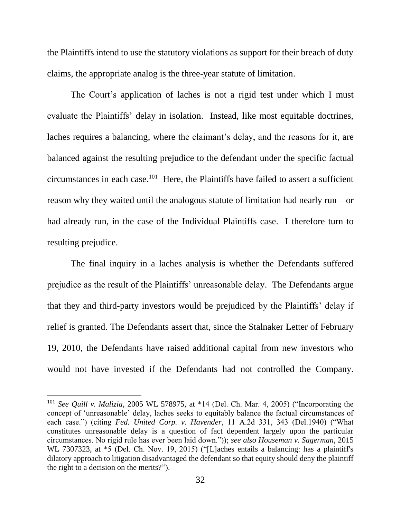the Plaintiffs intend to use the statutory violations as support for their breach of duty claims, the appropriate analog is the three-year statute of limitation.

The Court's application of laches is not a rigid test under which I must evaluate the Plaintiffs' delay in isolation. Instead, like most equitable doctrines, laches requires a balancing, where the claimant's delay, and the reasons for it, are balanced against the resulting prejudice to the defendant under the specific factual  $circumstances$  in each case.<sup>101</sup> Here, the Plaintiffs have failed to assert a sufficient reason why they waited until the analogous statute of limitation had nearly run—or had already run, in the case of the Individual Plaintiffs case. I therefore turn to resulting prejudice.

The final inquiry in a laches analysis is whether the Defendants suffered prejudice as the result of the Plaintiffs' unreasonable delay. The Defendants argue that they and third-party investors would be prejudiced by the Plaintiffs' delay if relief is granted. The Defendants assert that, since the Stalnaker Letter of February 19, 2010, the Defendants have raised additional capital from new investors who would not have invested if the Defendants had not controlled the Company.

<sup>101</sup> *See Quill v. Malizia*, 2005 WL 578975, at \*14 (Del. Ch. Mar. 4, 2005) ("Incorporating the concept of 'unreasonable' delay, laches seeks to equitably balance the factual circumstances of each case.") (citing *Fed. United Corp. v. Havender*, 11 A.2d 331, 343 (Del.1940) ("What constitutes unreasonable delay is a question of fact dependent largely upon the particular circumstances. No rigid rule has ever been laid down.")); *see also Houseman v. Sagerman*, 2015 WL 7307323, at \*5 (Del. Ch. Nov. 19, 2015) ("[L]aches entails a balancing: has a plaintiff's dilatory approach to litigation disadvantaged the defendant so that equity should deny the plaintiff the right to a decision on the merits?").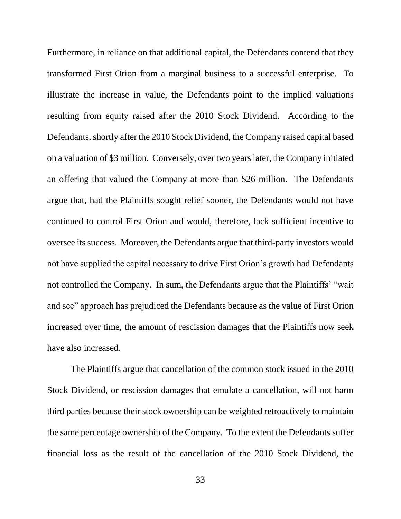Furthermore, in reliance on that additional capital, the Defendants contend that they transformed First Orion from a marginal business to a successful enterprise. To illustrate the increase in value, the Defendants point to the implied valuations resulting from equity raised after the 2010 Stock Dividend. According to the Defendants, shortly after the 2010 Stock Dividend, the Company raised capital based on a valuation of \$3 million. Conversely, over two years later, the Company initiated an offering that valued the Company at more than \$26 million. The Defendants argue that, had the Plaintiffs sought relief sooner, the Defendants would not have continued to control First Orion and would, therefore, lack sufficient incentive to oversee its success. Moreover, the Defendants argue that third-party investors would not have supplied the capital necessary to drive First Orion's growth had Defendants not controlled the Company. In sum, the Defendants argue that the Plaintiffs' "wait and see" approach has prejudiced the Defendants because as the value of First Orion increased over time, the amount of rescission damages that the Plaintiffs now seek have also increased.

The Plaintiffs argue that cancellation of the common stock issued in the 2010 Stock Dividend, or rescission damages that emulate a cancellation, will not harm third parties because their stock ownership can be weighted retroactively to maintain the same percentage ownership of the Company. To the extent the Defendants suffer financial loss as the result of the cancellation of the 2010 Stock Dividend, the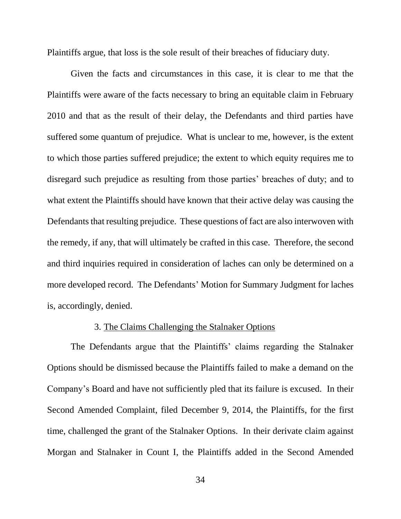Plaintiffs argue, that loss is the sole result of their breaches of fiduciary duty.

Given the facts and circumstances in this case, it is clear to me that the Plaintiffs were aware of the facts necessary to bring an equitable claim in February 2010 and that as the result of their delay, the Defendants and third parties have suffered some quantum of prejudice. What is unclear to me, however, is the extent to which those parties suffered prejudice; the extent to which equity requires me to disregard such prejudice as resulting from those parties' breaches of duty; and to what extent the Plaintiffs should have known that their active delay was causing the Defendants that resulting prejudice. These questions of fact are also interwoven with the remedy, if any, that will ultimately be crafted in this case. Therefore, the second and third inquiries required in consideration of laches can only be determined on a more developed record. The Defendants' Motion for Summary Judgment for laches is, accordingly, denied.

## 3. The Claims Challenging the Stalnaker Options

The Defendants argue that the Plaintiffs' claims regarding the Stalnaker Options should be dismissed because the Plaintiffs failed to make a demand on the Company's Board and have not sufficiently pled that its failure is excused. In their Second Amended Complaint, filed December 9, 2014, the Plaintiffs, for the first time, challenged the grant of the Stalnaker Options. In their derivate claim against Morgan and Stalnaker in Count I, the Plaintiffs added in the Second Amended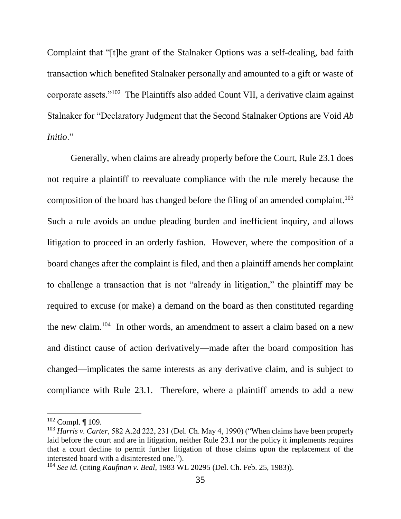Complaint that "[t]he grant of the Stalnaker Options was a self-dealing, bad faith transaction which benefited Stalnaker personally and amounted to a gift or waste of corporate assets."<sup>102</sup> The Plaintiffs also added Count VII, a derivative claim against Stalnaker for "Declaratory Judgment that the Second Stalnaker Options are Void *Ab Initio*."

Generally, when claims are already properly before the Court, Rule 23.1 does not require a plaintiff to reevaluate compliance with the rule merely because the composition of the board has changed before the filing of an amended complaint.<sup>103</sup> Such a rule avoids an undue pleading burden and inefficient inquiry, and allows litigation to proceed in an orderly fashion. However, where the composition of a board changes after the complaint is filed, and then a plaintiff amends her complaint to challenge a transaction that is not "already in litigation," the plaintiff may be required to excuse (or make) a demand on the board as then constituted regarding the new claim. 104 In other words, an amendment to assert a claim based on a new and distinct cause of action derivatively—made after the board composition has changed—implicates the same interests as any derivative claim, and is subject to compliance with Rule 23.1. Therefore, where a plaintiff amends to add a new

 $102$  Compl. | 109.

<sup>103</sup> *Harris v. Carter*, 582 A.2d 222, 231 (Del. Ch. May 4, 1990) ("When claims have been properly laid before the court and are in litigation, neither Rule 23.1 nor the policy it implements requires that a court decline to permit further litigation of those claims upon the replacement of the interested board with a disinterested one.").

<sup>104</sup> *See id.* (citing *Kaufman v. Beal*, 1983 WL 20295 (Del. Ch. Feb. 25, 1983)).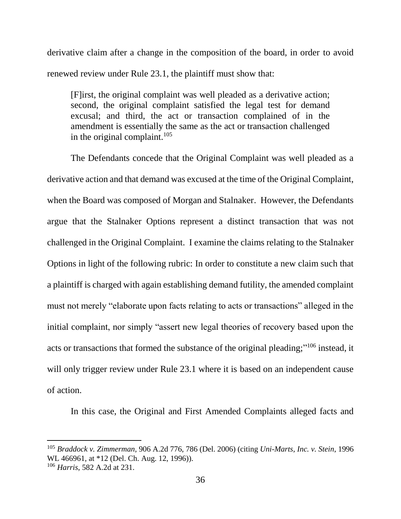derivative claim after a change in the composition of the board, in order to avoid renewed review under Rule 23.1, the plaintiff must show that:

[F]irst, the original complaint was well pleaded as a derivative action; second, the original complaint satisfied the legal test for demand excusal; and third, the act or transaction complained of in the amendment is essentially the same as the act or transaction challenged in the original complaint. $105$ 

The Defendants concede that the Original Complaint was well pleaded as a derivative action and that demand was excused at the time of the Original Complaint, when the Board was composed of Morgan and Stalnaker. However, the Defendants argue that the Stalnaker Options represent a distinct transaction that was not challenged in the Original Complaint. I examine the claims relating to the Stalnaker Options in light of the following rubric: In order to constitute a new claim such that a plaintiff is charged with again establishing demand futility, the amended complaint must not merely "elaborate upon facts relating to acts or transactions" alleged in the initial complaint, nor simply "assert new legal theories of recovery based upon the acts or transactions that formed the substance of the original pleading;"<sup>106</sup> instead, it will only trigger review under Rule 23.1 where it is based on an independent cause of action.

In this case, the Original and First Amended Complaints alleged facts and

<sup>105</sup> *Braddock v. Zimmerman*, 906 A.2d 776, 786 (Del. 2006) (citing *Uni-Marts, Inc. v. Stein*, 1996 WL 466961, at \*12 (Del. Ch. Aug. 12, 1996)).

<sup>106</sup> *Harris*, 582 A.2d at 231.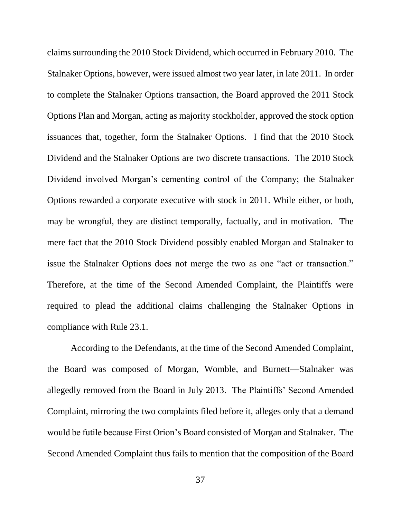claims surrounding the 2010 Stock Dividend, which occurred in February 2010. The Stalnaker Options, however, were issued almost two year later, in late 2011. In order to complete the Stalnaker Options transaction, the Board approved the 2011 Stock Options Plan and Morgan, acting as majority stockholder, approved the stock option issuances that, together, form the Stalnaker Options. I find that the 2010 Stock Dividend and the Stalnaker Options are two discrete transactions. The 2010 Stock Dividend involved Morgan's cementing control of the Company; the Stalnaker Options rewarded a corporate executive with stock in 2011. While either, or both, may be wrongful, they are distinct temporally, factually, and in motivation. The mere fact that the 2010 Stock Dividend possibly enabled Morgan and Stalnaker to issue the Stalnaker Options does not merge the two as one "act or transaction." Therefore, at the time of the Second Amended Complaint, the Plaintiffs were required to plead the additional claims challenging the Stalnaker Options in compliance with Rule 23.1.

According to the Defendants, at the time of the Second Amended Complaint, the Board was composed of Morgan, Womble, and Burnett—Stalnaker was allegedly removed from the Board in July 2013. The Plaintiffs' Second Amended Complaint, mirroring the two complaints filed before it, alleges only that a demand would be futile because First Orion's Board consisted of Morgan and Stalnaker. The Second Amended Complaint thus fails to mention that the composition of the Board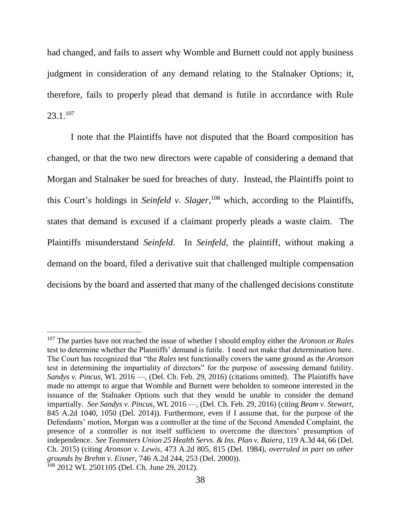had changed, and fails to assert why Womble and Burnett could not apply business judgment in consideration of any demand relating to the Stalnaker Options; it, therefore, fails to properly plead that demand is futile in accordance with Rule  $23.1.^{107}$ 

I note that the Plaintiffs have not disputed that the Board composition has changed, or that the two new directors were capable of considering a demand that Morgan and Stalnaker be sued for breaches of duty. Instead, the Plaintiffs point to this Court's holdings in *Seinfeld v. Slager*, <sup>108</sup> which, according to the Plaintiffs, states that demand is excused if a claimant properly pleads a waste claim. The Plaintiffs misunderstand *Seinfeld*. In *Seinfeld*, the plaintiff, without making a demand on the board, filed a derivative suit that challenged multiple compensation decisions by the board and asserted that many of the challenged decisions constitute

<sup>107</sup> The parties have not reached the issue of whether I should employ either the *Aronson* or *Rales* test to determine whether the Plaintiffs' demand is futile. I need not make that determination here. The Court has recognized that "the *Rales* test functionally covers the same ground as the *Aronson* test in determining the impartiality of directors" for the purpose of assessing demand futility. *Sandys v. Pincus*, WL 2016 —, (Del. Ch. Feb. 29, 2016) (citations omitted). The Plaintiffs have made no attempt to argue that Womble and Burnett were beholden to someone interested in the issuance of the Stalnaker Options such that they would be unable to consider the demand impartially. *See Sandys v. Pincus*, WL 2016 —, (Del. Ch. Feb. 29, 2016) (citing *Beam v. Stewart*, 845 A.2d 1040, 1050 (Del. 2014)). Furthermore, even if I assume that, for the purpose of the Defendants' motion, Morgan was a controller at the time of the Second Amended Complaint, the presence of a controller is not itself sufficient to overcome the directors' presumption of independence. *See Teamsters Union 25 Health Servs. & Ins. Plan v. Baiera*, 119 A.3d 44, 66 (Del. Ch. 2015) (citing *Aronson v. Lewis*, 473 A.2d 805, 815 (Del. 1984), *overruled in part on other grounds by Brehm v. Eisner*, 746 A.2d 244, 253 (Del. 2000)). <sup>108</sup> 2012 WL 2501105 (Del. Ch. June 29, 2012).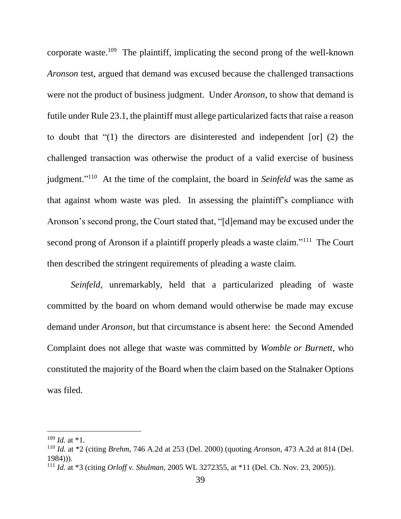corporate waste.<sup>109</sup> The plaintiff, implicating the second prong of the well-known *Aronson* test, argued that demand was excused because the challenged transactions were not the product of business judgment. Under *Aronson*, to show that demand is futile under Rule 23.1, the plaintiff must allege particularized facts that raise a reason to doubt that "(1) the directors are disinterested and independent [or] (2) the challenged transaction was otherwise the product of a valid exercise of business judgment."<sup>110</sup> At the time of the complaint, the board in *Seinfeld* was the same as that against whom waste was pled. In assessing the plaintiff's compliance with Aronson's second prong, the Court stated that, "[d]emand may be excused under the second prong of Aronson if a plaintiff properly pleads a waste claim."<sup>111</sup> The Court then described the stringent requirements of pleading a waste claim.

*Seinfeld*, unremarkably, held that a particularized pleading of waste committed by the board on whom demand would otherwise be made may excuse demand under *Aronson*, but that circumstance is absent here: the Second Amended Complaint does not allege that waste was committed by *Womble or Burnett*, who constituted the majority of the Board when the claim based on the Stalnaker Options was filed.

 $109$  *Id.* at \*1.

<sup>110</sup> *Id.* at \*2 (citing *Brehm*, 746 A.2d at 253 (Del. 2000) (quoting *Aronson*, 473 A.2d at 814 (Del. 1984))).

<sup>111</sup> *Id.* at \*3 (citing *Orloff v. Shulman*, 2005 WL 3272355, at \*11 (Del. Ch. Nov. 23, 2005)).